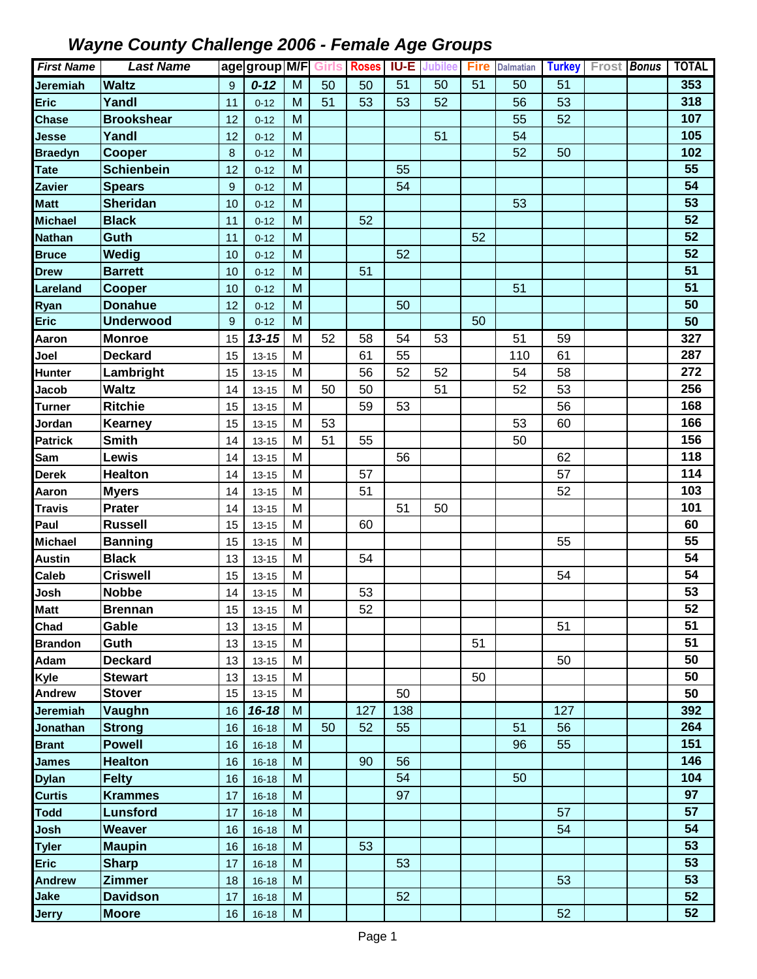| <b>First Name</b> | <b>Last Name</b>  |         | age group M/F Girls Roses |                                                                                       |    |     | <b>IU-E</b> | Jubilee | <b>Fire</b> | <b>Dalmatian</b> | <b>Turkey</b> | <b>Frost Bonus</b> | <b>TOTAL</b> |
|-------------------|-------------------|---------|---------------------------|---------------------------------------------------------------------------------------|----|-----|-------------|---------|-------------|------------------|---------------|--------------------|--------------|
| <b>Jeremiah</b>   | <b>Waltz</b>      | 9       | $0 - 12$                  | M                                                                                     | 50 | 50  | 51          | 50      | 51          | 50               | 51            |                    | 353          |
| <b>Eric</b>       | Yandl             | 11      | $0 - 12$                  | M                                                                                     | 51 | 53  | 53          | 52      |             | 56               | 53            |                    | 318          |
| <b>Chase</b>      | <b>Brookshear</b> | 12      | $0 - 12$                  | M                                                                                     |    |     |             |         |             | 55               | 52            |                    | 107          |
| <b>Jesse</b>      | Yandl             | 12      | $0 - 12$                  | M                                                                                     |    |     |             | 51      |             | 54               |               |                    | 105          |
| <b>Braedyn</b>    | <b>Cooper</b>     | $\bf 8$ | $0 - 12$                  | M                                                                                     |    |     |             |         |             | 52               | 50            |                    | 102          |
| <b>Tate</b>       | <b>Schienbein</b> | 12      | $0 - 12$                  | M                                                                                     |    |     | 55          |         |             |                  |               |                    | 55           |
| <b>Zavier</b>     | <b>Spears</b>     | 9       | $0 - 12$                  | M                                                                                     |    |     | 54          |         |             |                  |               |                    | 54           |
| <b>Matt</b>       | <b>Sheridan</b>   | 10      | $0 - 12$                  | M                                                                                     |    |     |             |         |             | 53               |               |                    | 53           |
| <b>Michael</b>    | <b>Black</b>      | 11      | $0 - 12$                  | M                                                                                     |    | 52  |             |         |             |                  |               |                    | 52           |
| <b>Nathan</b>     | Guth              | 11      | $0 - 12$                  | M                                                                                     |    |     |             |         | 52          |                  |               |                    | 52           |
| <b>Bruce</b>      | Wedig             | 10      | $0 - 12$                  | M                                                                                     |    |     | 52          |         |             |                  |               |                    | 52           |
| <b>Drew</b>       | <b>Barrett</b>    | 10      | $0 - 12$                  | M                                                                                     |    | 51  |             |         |             |                  |               |                    | 51           |
| Lareland          | <b>Cooper</b>     | 10      | $0 - 12$                  | M                                                                                     |    |     |             |         |             | 51               |               |                    | 51           |
| Ryan              | <b>Donahue</b>    | 12      | $0 - 12$                  | M                                                                                     |    |     | 50          |         |             |                  |               |                    | 50           |
| <b>Eric</b>       | <b>Underwood</b>  | 9       | $0 - 12$                  | M                                                                                     |    |     |             |         | 50          |                  |               |                    | 50           |
| Aaron             | <b>Monroe</b>     | 15      | $13 - 15$                 | M                                                                                     | 52 | 58  | 54          | 53      |             | 51               | 59            |                    | 327          |
| Joel              | <b>Deckard</b>    | 15      | $13 - 15$                 | M                                                                                     |    | 61  | 55          |         |             | 110              | 61            |                    | 287          |
| <b>Hunter</b>     | Lambright         | 15      | $13 - 15$                 | M                                                                                     |    | 56  | 52          | 52      |             | 54               | 58            |                    | 272          |
| Jacob             | <b>Waltz</b>      | 14      | $13 - 15$                 | M                                                                                     | 50 | 50  |             | 51      |             | 52               | 53            |                    | 256          |
| <b>Turner</b>     | <b>Ritchie</b>    | 15      | $13 - 15$                 | M                                                                                     |    | 59  | 53          |         |             |                  | 56            |                    | 168          |
| Jordan            | Kearney           | 15      | $13 - 15$                 | M                                                                                     | 53 |     |             |         |             | 53               | 60            |                    | 166          |
| <b>Patrick</b>    | <b>Smith</b>      | 14      | $13 - 15$                 | M                                                                                     | 51 | 55  |             |         |             | 50               |               |                    | 156          |
| Sam               | Lewis             | 14      | $13 - 15$                 | M                                                                                     |    |     | 56          |         |             |                  | 62            |                    | 118          |
| <b>Derek</b>      | <b>Healton</b>    | 14      | $13 - 15$                 | M                                                                                     |    | 57  |             |         |             |                  | 57            |                    | 114          |
| Aaron             | <b>Myers</b>      | 14      | $13 - 15$                 | M                                                                                     |    | 51  |             |         |             |                  | 52            |                    | 103          |
| <b>Travis</b>     | Prater            | 14      | $13 - 15$                 | M                                                                                     |    |     | 51          | 50      |             |                  |               |                    | 101          |
| Paul              | <b>Russell</b>    | 15      | $13 - 15$                 | M                                                                                     |    | 60  |             |         |             |                  |               |                    | 60           |
| <b>Michael</b>    | <b>Banning</b>    | 15      | $13 - 15$                 | M                                                                                     |    |     |             |         |             |                  | 55            |                    | 55           |
| <b>Austin</b>     | <b>Black</b>      | 13      | $13 - 15$                 | M                                                                                     |    | 54  |             |         |             |                  |               |                    | 54           |
| Caleb             | <b>Criswell</b>   | 15      | $13 - 15$                 | M                                                                                     |    |     |             |         |             |                  | 54            |                    | 54           |
| Josh              | <b>Nobbe</b>      | 14      | $13 - 15$                 | M                                                                                     |    | 53  |             |         |             |                  |               |                    | 53           |
| <b>Matt</b>       | <b>Brennan</b>    | 15      | $13 - 15$                 | M                                                                                     |    | 52  |             |         |             |                  |               |                    | 52           |
| Chad              | Gable             | 13      | $13 - 15$                 | M                                                                                     |    |     |             |         |             |                  | 51            |                    | 51           |
| <b>Brandon</b>    | Guth              | 13      | $13 - 15$                 | M                                                                                     |    |     |             |         | 51          |                  |               |                    | 51           |
| Adam              | <b>Deckard</b>    | 13      | $13 - 15$                 | M                                                                                     |    |     |             |         |             |                  | 50            |                    | 50           |
| Kyle              | <b>Stewart</b>    | 13      | $13 - 15$                 | M                                                                                     |    |     |             |         | 50          |                  |               |                    | 50           |
| <b>Andrew</b>     | <b>Stover</b>     | 15      | $13 - 15$                 | M                                                                                     |    |     | 50          |         |             |                  |               |                    | 50           |
| <b>Jeremiah</b>   | Vaughn            | 16      | $16 - 18$                 | M                                                                                     |    | 127 | 138         |         |             |                  | 127           |                    | 392          |
| Jonathan          | <b>Strong</b>     | 16      | $16 - 18$                 | M                                                                                     | 50 | 52  | 55          |         |             | 51               | 56            |                    | 264          |
| <b>Brant</b>      | <b>Powell</b>     | 16      | $16 - 18$                 | M                                                                                     |    |     |             |         |             | 96               | 55            |                    | 151          |
| <b>James</b>      | <b>Healton</b>    | 16      | $16 - 18$                 | M                                                                                     |    | 90  | 56          |         |             |                  |               |                    | 146          |
| <b>Dylan</b>      | <b>Felty</b>      | 16      | $16 - 18$                 | $\mathsf{M}% _{T}=\mathsf{M}_{T}\!\left( a,b\right) ,\ \mathsf{M}_{T}=\mathsf{M}_{T}$ |    |     | 54          |         |             | 50               |               |                    | 104          |
| <b>Curtis</b>     | <b>Krammes</b>    | 17      | $16 - 18$                 | M                                                                                     |    |     | 97          |         |             |                  |               |                    | 97           |
| <b>Todd</b>       | <b>Lunsford</b>   | 17      | $16 - 18$                 | M                                                                                     |    |     |             |         |             |                  | 57            |                    | 57           |
| Josh              | Weaver            | 16      | $16 - 18$                 | M                                                                                     |    |     |             |         |             |                  | 54            |                    | 54           |
| <b>Tyler</b>      | <b>Maupin</b>     | 16      | $16 - 18$                 | M                                                                                     |    | 53  |             |         |             |                  |               |                    | 53           |
| <b>Eric</b>       | <b>Sharp</b>      | 17      | $16 - 18$                 | M                                                                                     |    |     | 53          |         |             |                  |               |                    | 53           |
| <b>Andrew</b>     | <b>Zimmer</b>     | 18      | $16 - 18$                 | M                                                                                     |    |     |             |         |             |                  | 53            |                    | 53           |
| Jake              | <b>Davidson</b>   | 17      | $16 - 18$                 | M                                                                                     |    |     | 52          |         |             |                  |               |                    | 52           |
| <b>Jerry</b>      | <b>Moore</b>      | 16      | $16 - 18$                 | M                                                                                     |    |     |             |         |             |                  | 52            |                    | 52           |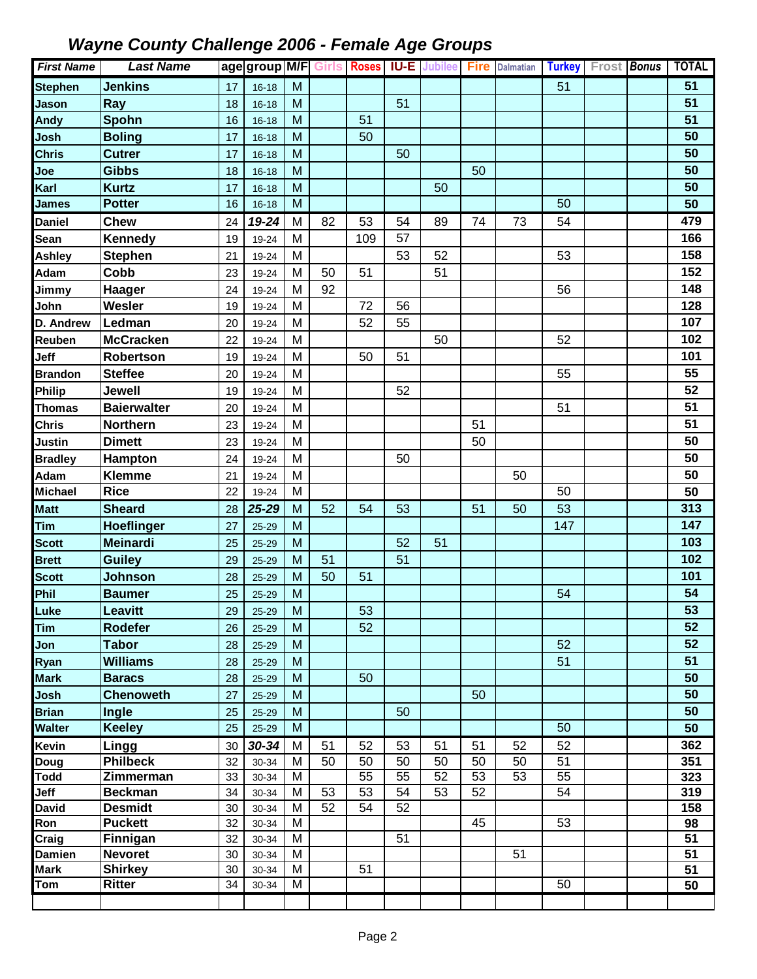| <b>First Name</b>   | <b>Last Name</b>             |          | age group M/F Girls Roses IU-E Jubilee Fire |                                                                                       |    |          |          |          |          | <b>Dalmatian</b> |          | Turkey Frost Bonus | <b>TOTAL</b>    |
|---------------------|------------------------------|----------|---------------------------------------------|---------------------------------------------------------------------------------------|----|----------|----------|----------|----------|------------------|----------|--------------------|-----------------|
| <b>Stephen</b>      | <b>Jenkins</b>               | 17       | $16 - 18$                                   | M                                                                                     |    |          |          |          |          |                  | 51       |                    | 51              |
| Jason               | Ray                          | 18       | $16 - 18$                                   | M                                                                                     |    |          | 51       |          |          |                  |          |                    | 51              |
| <b>Andy</b>         | Spohn                        | 16       | $16 - 18$                                   | M                                                                                     |    | 51       |          |          |          |                  |          |                    | 51              |
| Josh                | <b>Boling</b>                | 17       | $16 - 18$                                   | M                                                                                     |    | 50       |          |          |          |                  |          |                    | 50              |
| <b>Chris</b>        | <b>Cutrer</b>                | 17       | $16 - 18$                                   | M                                                                                     |    |          | 50       |          |          |                  |          |                    | 50              |
| Joe                 | <b>Gibbs</b>                 | 18       | $16 - 18$                                   | M                                                                                     |    |          |          |          | 50       |                  |          |                    | 50              |
| Karl                | <b>Kurtz</b>                 | 17       | $16 - 18$                                   | M                                                                                     |    |          |          | 50       |          |                  |          |                    | 50              |
| <b>James</b>        | <b>Potter</b>                | 16       | $16 - 18$                                   | M                                                                                     |    |          |          |          |          |                  | 50       |                    | 50              |
| <b>Daniel</b>       | Chew                         | 24       | 19-24                                       | M                                                                                     | 82 | 53       | 54       | 89       | 74       | 73               | 54       |                    | 479             |
| <b>Sean</b>         | <b>Kennedy</b>               | 19       | 19-24                                       | M                                                                                     |    | 109      | 57       |          |          |                  |          |                    | 166             |
| <b>Ashley</b>       | <b>Stephen</b>               | 21       | 19-24                                       | M                                                                                     |    |          | 53       | 52       |          |                  | 53       |                    | 158             |
| Adam                | Cobb                         | 23       | 19-24                                       | M                                                                                     | 50 | 51       |          | 51       |          |                  |          |                    | 152             |
| Jimmy               | Haager                       | 24       | 19-24                                       | M                                                                                     | 92 |          |          |          |          |                  | 56       |                    | 148             |
| John                | Wesler                       | 19       | 19-24                                       | M                                                                                     |    | 72       | 56       |          |          |                  |          |                    | 128             |
| D. Andrew           | Ledman                       | 20       | 19-24                                       | M                                                                                     |    | 52       | 55       |          |          |                  |          |                    | 107             |
| Reuben              | <b>McCracken</b>             | 22       | 19-24                                       | M                                                                                     |    |          |          | 50       |          |                  | 52       |                    | 102             |
| Jeff                | Robertson                    | 19       | 19-24                                       | M                                                                                     |    | 50       | 51       |          |          |                  |          |                    | 101             |
| <b>Brandon</b>      | <b>Steffee</b>               | 20       | 19-24                                       | M                                                                                     |    |          |          |          |          |                  | 55       |                    | 55              |
| Philip              | Jewell                       | 19       | 19-24                                       | M                                                                                     |    |          | 52       |          |          |                  |          |                    | 52              |
| <b>Thomas</b>       | <b>Baierwalter</b>           | 20       | 19-24                                       | M                                                                                     |    |          |          |          |          |                  | 51       |                    | 51              |
| <b>Chris</b>        | <b>Northern</b>              | 23       | 19-24                                       | M                                                                                     |    |          |          |          | 51       |                  |          |                    | 51              |
| <b>Justin</b>       | <b>Dimett</b>                | 23       | 19-24                                       | M                                                                                     |    |          |          |          | 50       |                  |          |                    | 50              |
| <b>Bradley</b>      | Hampton                      | 24       | 19-24                                       | M                                                                                     |    |          | 50       |          |          |                  |          |                    | 50              |
| Adam                | <b>Klemme</b>                | 21       | 19-24                                       | M                                                                                     |    |          |          |          |          | 50               |          |                    | 50              |
| <b>Michael</b>      | <b>Rice</b>                  | 22       | 19-24                                       | M                                                                                     |    |          |          |          |          |                  | 50       |                    | 50              |
| <b>Matt</b>         | <b>Sheard</b>                | 28       | 25-29                                       | M                                                                                     | 52 | 54       | 53       |          | 51       | 50               | 53       |                    | 313             |
| Tim                 | Hoeflinger                   | 27       | 25-29                                       | M                                                                                     |    |          |          |          |          |                  | 147      |                    | 147             |
| <b>Scott</b>        | <b>Meinardi</b>              | 25       | $25 - 29$                                   | M                                                                                     |    |          | 52       | 51       |          |                  |          |                    | 103             |
| <b>Brett</b>        | <b>Guiley</b>                | 29       | 25-29                                       | M                                                                                     | 51 |          | 51       |          |          |                  |          |                    | 102             |
| <b>Scott</b>        | Johnson                      | 28       | 25-29                                       | M                                                                                     | 50 | 51       |          |          |          |                  |          |                    | 101             |
| Phil                | <b>Baumer</b>                | 25       | 25-29                                       | M                                                                                     |    |          |          |          |          |                  | 54       |                    | 54              |
| Luke                | Leavitt                      | 29       | 25-29                                       | $\mathsf{M}% _{T}=\mathsf{M}_{T}\!\left( a,b\right) ,\ \mathsf{M}_{T}=\mathsf{M}_{T}$ |    | 53       |          |          |          |                  |          |                    | 53              |
| Tim                 | Rodefer                      | 26       | $25 - 29$                                   | M                                                                                     |    | 52       |          |          |          |                  |          |                    | 52              |
| Jon                 | <b>Tabor</b>                 | 28       | $25 - 29$                                   | M                                                                                     |    |          |          |          |          |                  | 52       |                    | 52              |
| Ryan                | <b>Williams</b>              | 28       | 25-29                                       | M                                                                                     |    |          |          |          |          |                  | 51       |                    | 51              |
| <b>Mark</b>         | <b>Baracs</b>                | 28       | 25-29                                       | M                                                                                     |    | 50       |          |          |          |                  |          |                    | 50              |
| Josh                | <b>Chenoweth</b>             | 27       | 25-29                                       | ${\sf M}$                                                                             |    |          |          |          | 50       |                  |          |                    | 50              |
| <b>Brian</b>        | Ingle                        | 25       | $25 - 29$                                   | M                                                                                     |    |          | 50       |          |          |                  |          |                    | 50              |
| <b>Walter</b>       | <b>Keeley</b>                | 25       | 25-29                                       | M                                                                                     |    |          |          |          |          |                  | 50       |                    | 50              |
| Kevin               | Lingg                        | 30       | $30 - 34$                                   | M                                                                                     | 51 | 52       | 53       | 51       | 51       | 52               | 52       |                    | 362             |
| Doug                | <b>Philbeck</b><br>Zimmerman | 32       | 30-34                                       | M<br>M                                                                                | 50 | 50<br>55 | 50<br>55 | 50<br>52 | 50<br>53 | 50<br>53         | 51<br>55 |                    | 351             |
| <b>Todd</b><br>Jeff | <b>Beckman</b>               | 33<br>34 | 30-34<br>30-34                              | M                                                                                     | 53 | 53       | 54       | 53       | 52       |                  | 54       |                    | 323<br>319      |
| <b>David</b>        | <b>Desmidt</b>               | 30       | 30-34                                       | M                                                                                     | 52 | 54       | 52       |          |          |                  |          |                    | 158             |
| Ron                 | <b>Puckett</b>               | 32       | 30-34                                       | M                                                                                     |    |          |          |          | 45       |                  | 53       |                    | 98              |
| Craig               | Finnigan                     | 32       | 30-34                                       | M                                                                                     |    |          | 51       |          |          |                  |          |                    | 51              |
| <b>Damien</b>       | <b>Nevoret</b>               | 30       | 30-34                                       | M                                                                                     |    |          |          |          |          | 51               |          |                    | 51              |
| <b>Mark</b>         | Shirkey                      | 30       | 30-34                                       | M                                                                                     |    | 51       |          |          |          |                  |          |                    | $\overline{51}$ |
| Tom                 | <b>Ritter</b>                | 34       | 30-34                                       | M                                                                                     |    |          |          |          |          |                  | 50       |                    | 50              |
|                     |                              |          |                                             |                                                                                       |    |          |          |          |          |                  |          |                    |                 |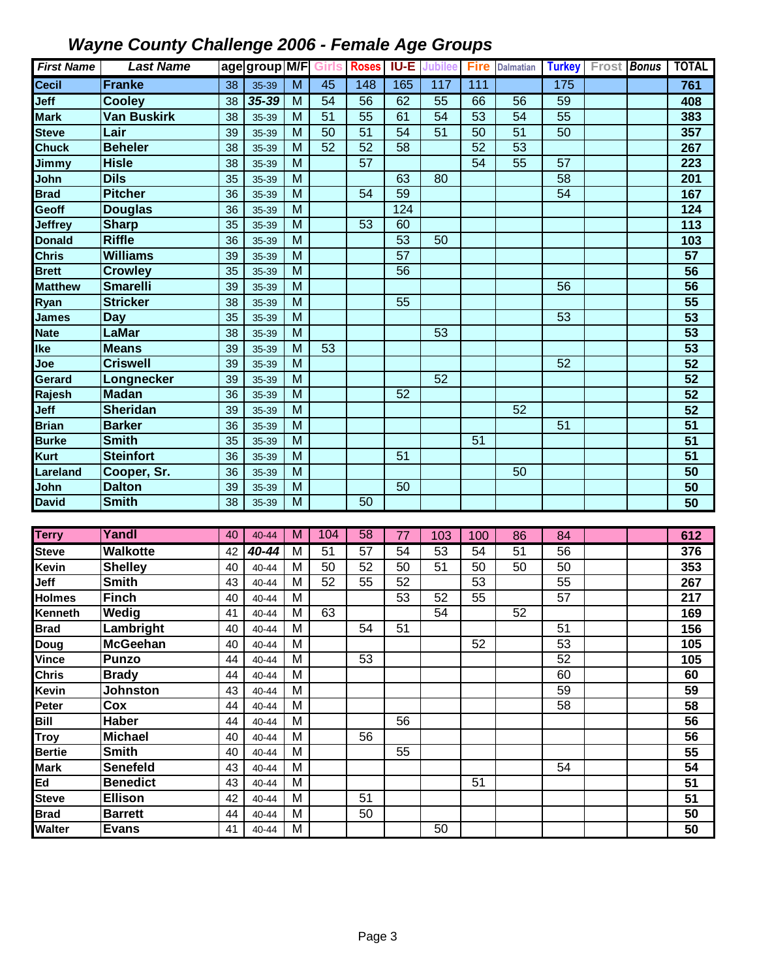| <b>First Name</b> | <b>Last Name</b>   |    | age group M/F Girls Roses |                         |                 |                 |                 | <b>IU-E</b> Jubilee Fire |                 | <b>Dalmatian</b> |                 | Turkey Frost Bonus | <b>TOTAL</b>     |
|-------------------|--------------------|----|---------------------------|-------------------------|-----------------|-----------------|-----------------|--------------------------|-----------------|------------------|-----------------|--------------------|------------------|
| Cecil             | <b>Franke</b>      | 38 | 35-39                     | $\overline{\mathsf{M}}$ | 45              | 148             | 165             | 117                      | 111             |                  | 175             |                    | 761              |
| Jeff              | Cooley             | 38 | $35 - 39$                 | M                       | $\overline{54}$ | $\overline{56}$ | 62              | 55                       | 66              | $\overline{56}$  | 59              |                    | 408              |
| <b>Mark</b>       | <b>Van Buskirk</b> | 38 | 35-39                     | M                       | $\overline{51}$ | 55              | 61              | $\overline{54}$          | $\overline{53}$ | $\overline{54}$  | $\overline{55}$ |                    | 383              |
| <b>Steve</b>      | Lair               | 39 | 35-39                     | M                       | 50              | $\overline{51}$ | $\overline{54}$ | $\overline{51}$          | $\overline{50}$ | $\overline{51}$  | 50              |                    | 357              |
| Chuck             | <b>Beheler</b>     | 38 | 35-39                     | M                       | 52              | $\overline{52}$ | $\overline{58}$ |                          | 52              | $\overline{53}$  |                 |                    | 267              |
| Jimmy             | <b>Hisle</b>       | 38 | 35-39                     | M                       |                 | $\overline{57}$ |                 |                          | 54              | $\overline{55}$  | 57              |                    | 223              |
| John              | <b>Dils</b>        | 35 | 35-39                     | M                       |                 |                 | 63              | 80                       |                 |                  | 58              |                    | 201              |
| <b>Brad</b>       | <b>Pitcher</b>     | 36 | 35-39                     | M                       |                 | 54              | 59              |                          |                 |                  | 54              |                    | 167              |
| Geoff             | <b>Douglas</b>     | 36 | 35-39                     | M                       |                 |                 | 124             |                          |                 |                  |                 |                    | $\overline{124}$ |
| <b>Jeffrey</b>    | <b>Sharp</b>       | 35 | 35-39                     | M                       |                 | 53              | 60              |                          |                 |                  |                 |                    | 113              |
| <b>Donald</b>     | <b>Riffle</b>      | 36 | 35-39                     | M                       |                 |                 | $\overline{53}$ | 50                       |                 |                  |                 |                    | 103              |
| <b>Chris</b>      | <b>Williams</b>    | 39 | 35-39                     | M                       |                 |                 | $\overline{57}$ |                          |                 |                  |                 |                    | $\overline{57}$  |
| <b>Brett</b>      | <b>Crowley</b>     | 35 | 35-39                     | M                       |                 |                 | 56              |                          |                 |                  |                 |                    | 56               |
| <b>Matthew</b>    | <b>Smarelli</b>    | 39 | 35-39                     | M                       |                 |                 |                 |                          |                 |                  | 56              |                    | 56               |
| Ryan              | <b>Stricker</b>    | 38 | 35-39                     | M                       |                 |                 | 55              |                          |                 |                  |                 |                    | $\overline{55}$  |
| <b>James</b>      | <b>Day</b>         | 35 | 35-39                     | M                       |                 |                 |                 |                          |                 |                  | 53              |                    | 53               |
| <b>Nate</b>       | LaMar              | 38 | 35-39                     | M                       |                 |                 |                 | 53                       |                 |                  |                 |                    | 53               |
| lke               | <b>Means</b>       | 39 | 35-39                     | M                       | 53              |                 |                 |                          |                 |                  |                 |                    | $\overline{53}$  |
| Joe               | <b>Criswell</b>    | 39 | 35-39                     | M                       |                 |                 |                 |                          |                 |                  | 52              |                    | $\overline{52}$  |
| Gerard            | Longnecker         | 39 | 35-39                     | M                       |                 |                 |                 | 52                       |                 |                  |                 |                    | 52               |
| Rajesh            | <b>Madan</b>       | 36 | 35-39                     | M                       |                 |                 | 52              |                          |                 |                  |                 |                    | $\overline{52}$  |
| Jeff              | <b>Sheridan</b>    | 39 | 35-39                     | M                       |                 |                 |                 |                          |                 | 52               |                 |                    | $\overline{52}$  |
| <b>Brian</b>      | <b>Barker</b>      | 36 | 35-39                     | M                       |                 |                 |                 |                          |                 |                  | $\overline{51}$ |                    | $\overline{51}$  |
| <b>Burke</b>      | <b>Smith</b>       | 35 | 35-39                     | M                       |                 |                 |                 |                          | 51              |                  |                 |                    | 51               |
| Kurt              | <b>Steinfort</b>   | 36 | 35-39                     | M                       |                 |                 | 51              |                          |                 |                  |                 |                    | 51               |
| Lareland          | Cooper, Sr.        | 36 | 35-39                     | M                       |                 |                 |                 |                          |                 | 50               |                 |                    | 50               |
| John              | <b>Dalton</b>      | 39 | 35-39                     | M                       |                 |                 | 50              |                          |                 |                  |                 |                    | $\overline{50}$  |
| <b>David</b>      | <b>Smith</b>       | 38 | 35-39                     | M                       |                 | 50              |                 |                          |                 |                  |                 |                    | 50               |
|                   |                    |    |                           |                         |                 |                 |                 |                          |                 |                  |                 |                    |                  |
| <b>Terry</b>      | Yandl              | 40 | 40-44                     | M                       | 104             | 58              | 77              | 103                      | 100             | 86               | 84              |                    | 612              |
| <b>Steve</b>      | <b>Walkotte</b>    | 42 | 40-44                     | M                       | 51              | 57              | $\overline{54}$ | $\overline{53}$          | 54              | 51               | $\overline{56}$ |                    | 376              |
| Kevin             | <b>Shelley</b>     | 40 | 40-44                     | M                       | 50              | 52              | 50              | 51                       | 50              | 50               | 50              |                    | 353              |
| Jeff              | <b>Smith</b>       | 43 | 40-44                     | M                       | 52              | 55              | $\overline{52}$ |                          | 53              |                  | 55              |                    | 267              |
| Holmes            | <b>Finch</b>       | 40 | $40 - 44$                 | M                       |                 |                 | 53              | 52                       | 55              |                  | 57              |                    | 217              |
| Kenneth           | <b>Wedig</b>       | 41 | 40-44                     | M                       | 63              |                 |                 | 54                       |                 | 52               |                 |                    | 169              |
| <b>Brad</b>       | Lambright          | 40 | 40-44                     | M                       |                 | 54              | 51              |                          |                 |                  | 51              |                    | 156              |
| Doug              | <b>McGeehan</b>    | 40 | 40-44                     | M                       |                 |                 |                 |                          | 52              |                  | 53              |                    | 105              |
| Vince             | <b>Punzo</b>       | 44 | 40-44                     | M                       |                 | 53              |                 |                          |                 |                  | 52              |                    | 105              |
| <b>Chris</b>      | <b>Brady</b>       | 44 | 40-44                     | M                       |                 |                 |                 |                          |                 |                  | 60              |                    | 60               |
| Kevin             | <b>Johnston</b>    | 43 | $40 - 44$                 | M                       |                 |                 |                 |                          |                 |                  | 59              |                    | 59               |
| Peter             | Cox                | 44 | 40-44                     | M                       |                 |                 |                 |                          |                 |                  | 58              |                    | 58               |
| Bill              | Haber              | 44 | 40-44                     | M                       |                 |                 | 56              |                          |                 |                  |                 |                    | 56               |
| Troy              | <b>Michael</b>     | 40 | 40-44                     | M                       |                 | 56              |                 |                          |                 |                  |                 |                    | 56               |
| <b>Bertie</b>     | <b>Smith</b>       | 40 | 40-44                     | M                       |                 |                 | 55              |                          |                 |                  |                 |                    | 55               |
| <b>Mark</b>       | <b>Senefeld</b>    | 43 | 40-44                     | M                       |                 |                 |                 |                          |                 |                  | 54              |                    | 54               |
| Ed                | <b>Benedict</b>    | 43 | 40-44                     | M                       |                 |                 |                 |                          | 51              |                  |                 |                    | 51               |
| <b>Steve</b>      | <b>Ellison</b>     | 42 | 40-44                     | M                       |                 | 51              |                 |                          |                 |                  |                 |                    | 51               |
| <b>Brad</b>       | <b>Barrett</b>     | 44 | 40-44                     | M                       |                 | 50              |                 |                          |                 |                  |                 |                    | 50               |
| Walter            | <b>Evans</b>       | 41 | 40-44                     | M                       |                 |                 |                 | 50                       |                 |                  |                 |                    | 50               |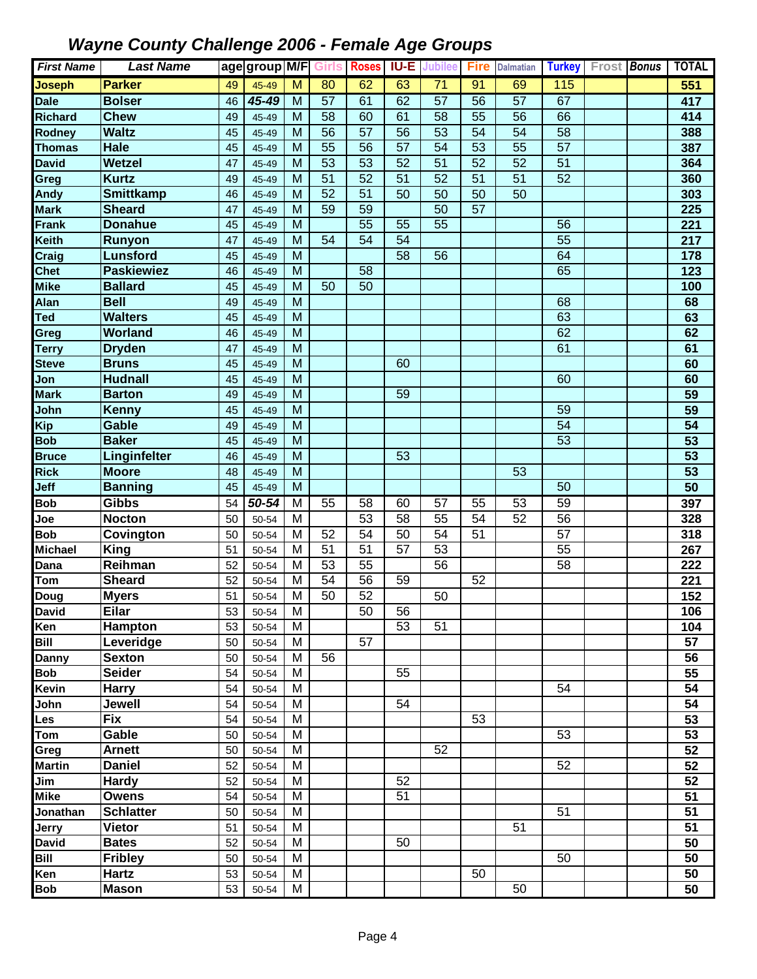| <b>First Name</b>     | <b>Last Name</b>                 |          | age group M/F  |                | Girls           | <b>Roses</b>    | IU-E            | Jubilee         | <b>Fire</b>     | <b>Dalmatian</b> |                 | <b>Turkey</b> Frost <b>Bonus</b> | <b>TOTAL</b>     |
|-----------------------|----------------------------------|----------|----------------|----------------|-----------------|-----------------|-----------------|-----------------|-----------------|------------------|-----------------|----------------------------------|------------------|
| <b>Joseph</b>         | <b>Parker</b>                    | 49       | 45-49          | $\overline{M}$ | 80              | 62              | 63              | $\overline{71}$ | 91              | 69               | 115             |                                  | 551              |
| <b>Dale</b>           | <b>Bolser</b>                    | 46       | 45-49          | M              | $\overline{57}$ | 61              | 62              | $\overline{57}$ | 56              | $\overline{57}$  | 67              |                                  | 417              |
| Richard               | <b>Chew</b>                      | 49       | 45-49          | M              | 58              | 60              | 61              | 58              | 55              | $\overline{56}$  | 66              |                                  | 414              |
| Rodney                | <b>Waltz</b>                     | 45       | 45-49          | M              | 56              | $\overline{57}$ | $\overline{56}$ | $\overline{53}$ | 54              | 54               | 58              |                                  | 388              |
| <b>Thomas</b>         | Hale                             | 45       | 45-49          | M              | $\overline{55}$ | 56              | 57              | $\overline{54}$ | $\overline{53}$ | $\overline{55}$  | $\overline{57}$ |                                  | 387              |
| <b>David</b>          | <b>Wetzel</b>                    | 47       | 45-49          | M              | $\overline{53}$ | $\overline{53}$ | $\overline{52}$ | $\overline{51}$ | 52              | $\overline{52}$  | $\overline{51}$ |                                  | 364              |
| Greg                  | <b>Kurtz</b>                     | 49       | 45-49          | M              | $\overline{51}$ | $\overline{52}$ | $\overline{51}$ | 52              | 51              | 51               | 52              |                                  | 360              |
| Andy                  | Smittkamp                        | 46       | 45-49          | M              | $\overline{52}$ | $\overline{51}$ | 50              | 50              | 50              | 50               |                 |                                  | 303              |
| <b>Mark</b>           | <b>Sheard</b>                    | 47       | 45-49          | M              | 59              | 59              |                 | 50              | $\overline{57}$ |                  |                 |                                  | $\overline{225}$ |
| <b>Frank</b>          | <b>Donahue</b>                   | 45       | 45-49          | M              |                 | $\overline{55}$ | $\overline{55}$ | $\overline{55}$ |                 |                  | 56              |                                  | 221              |
| Keith                 | <b>Runyon</b>                    | 47       | 45-49          | M              | 54              | $\overline{54}$ | 54              |                 |                 |                  | $\overline{55}$ |                                  | $\overline{217}$ |
| Craig                 | <b>Lunsford</b>                  | 45       | 45-49          | M              |                 |                 | 58              | 56              |                 |                  | 64              |                                  | 178              |
| <b>Chet</b>           | <b>Paskiewiez</b>                | 46       | 45-49          | M              |                 | 58              |                 |                 |                 |                  | 65              |                                  | 123              |
| <b>Mike</b>           | <b>Ballard</b>                   | 45       | 45-49          | M              | 50              | $\overline{50}$ |                 |                 |                 |                  |                 |                                  | 100              |
| Alan                  | <b>Bell</b>                      | 49       | 45-49          | M              |                 |                 |                 |                 |                 |                  | 68              |                                  | 68               |
| Ted                   | <b>Walters</b>                   | 45       | 45-49          | M              |                 |                 |                 |                 |                 |                  | 63              |                                  | 63               |
| Greg                  | Worland                          | 46       | 45-49          | M              |                 |                 |                 |                 |                 |                  | 62              |                                  | 62               |
| <b>Terry</b>          | <b>Dryden</b>                    | 47       | 45-49          | M              |                 |                 |                 |                 |                 |                  | 61              |                                  | 61               |
| <b>Steve</b>          | <b>Bruns</b>                     | 45       | 45-49          | M              |                 |                 | 60              |                 |                 |                  |                 |                                  | 60               |
| Jon                   | <b>Hudnall</b>                   | 45       | 45-49          | M              |                 |                 |                 |                 |                 |                  | 60              |                                  | 60               |
| <b>Mark</b>           | <b>Barton</b>                    | 49       | 45-49          | M              |                 |                 | 59              |                 |                 |                  |                 |                                  | 59               |
| John                  | Kenny                            | 45       | 45-49          | M              |                 |                 |                 |                 |                 |                  | 59              |                                  | $\overline{59}$  |
| Kip                   | <b>Gable</b>                     | 49       | 45-49          | M              |                 |                 |                 |                 |                 |                  | $\overline{54}$ |                                  | 54               |
| <b>Bob</b>            | <b>Baker</b>                     | 45       | 45-49          | M              |                 |                 |                 |                 |                 |                  | $\overline{53}$ |                                  | 53               |
| <b>Bruce</b>          | Linginfelter                     | 46       | 45-49          | M              |                 |                 | 53              |                 |                 |                  |                 |                                  | 53               |
| <b>Rick</b>           | <b>Moore</b>                     | 48       | 45-49          | M              |                 |                 |                 |                 |                 | 53               |                 |                                  | 53               |
| Jeff                  | <b>Banning</b>                   | 45       | 45-49          | M              |                 |                 |                 |                 |                 |                  | 50              |                                  | $\overline{50}$  |
| <b>Bob</b>            | <b>Gibbs</b>                     | 54       | 50-54          | M              | 55              | 58              | 60              | 57              | 55              | $\overline{53}$  | 59              |                                  | 397              |
| Joe                   | <b>Nocton</b>                    | 50       | 50-54          | M              |                 | 53              | $\overline{58}$ | $\overline{55}$ | 54              | 52               | 56              |                                  | 328              |
| <b>Bob</b>            | Covington                        | 50       | 50-54          | M              | 52              | 54              | 50              | 54              | 51              |                  | 57              |                                  | 318              |
| <b>Michael</b>        | <b>King</b>                      | 51       | 50-54          | M              | 51              | $\overline{51}$ | 57              | 53              |                 |                  | 55              |                                  | 267              |
| Dana                  | Reihman                          | 52       | 50-54          | M              | 53              | 55              |                 | 56              |                 |                  | 58              |                                  | 222              |
| Tom                   | <b>Sheard</b>                    | 52       | 50-54          | M              | 54              | 56              | 59              |                 | $\overline{52}$ |                  |                 |                                  | 221              |
| Doug                  | <b>Myers</b>                     | 51       | 50-54          | M              | 50              | 52              |                 | 50              |                 |                  |                 |                                  | 152              |
| David                 | <b>Eilar</b>                     | 53       | 50-54          | $\overline{M}$ |                 | 50              | 56              |                 |                 |                  |                 |                                  | 106              |
| Ken                   | Hampton                          | 53       | 50-54          | м              |                 |                 | 53              | 51              |                 |                  |                 |                                  | 104              |
| Bill                  | Leveridge                        | 50       | 50-54          | M              |                 | 57              |                 |                 |                 |                  |                 |                                  | 57               |
| Danny                 | <b>Sexton</b>                    | 50       | 50-54          | M              | 56              |                 |                 |                 |                 |                  |                 |                                  | 56               |
| Bob                   | <b>Seider</b>                    | 54       | 50-54          | M              |                 |                 | 55              |                 |                 |                  |                 |                                  | 55               |
| Kevin                 | <b>Harry</b>                     | 54       | 50-54          | M              |                 |                 |                 |                 |                 |                  | 54              |                                  | 54               |
| John                  | Jewell                           | 54       | 50-54          | M              |                 |                 | 54              |                 |                 |                  |                 |                                  | 54               |
| Les                   | <b>Fix</b>                       | 54       | 50-54          | M              |                 |                 |                 |                 | 53              |                  |                 |                                  | 53               |
| Tom                   | Gable                            | 50       | 50-54          | M              |                 |                 |                 |                 |                 |                  | 53              |                                  | 53               |
| Greg                  | <b>Arnett</b>                    | 50       | 50-54          | M              |                 |                 |                 | 52              |                 |                  |                 |                                  | 52               |
| <b>Martin</b>         | <b>Daniel</b>                    | 52       | 50-54          | M<br>M         |                 |                 | 52              |                 |                 |                  | 52              |                                  | 52               |
| Jim                   | <b>Hardy</b>                     | 52       | 50-54          | M              |                 |                 | 51              |                 |                 |                  |                 |                                  | 52<br>51         |
| Mike<br>Jonathan      | <b>Owens</b><br><b>Schlatter</b> | 54       | 50-54          | M              |                 |                 |                 |                 |                 |                  | 51              |                                  | 51               |
|                       | <b>Vietor</b>                    | 50<br>51 | 50-54<br>50-54 | M              |                 |                 |                 |                 |                 | 51               |                 |                                  | 51               |
| Jerry<br><b>David</b> | <b>Bates</b>                     | 52       | 50-54          | M              |                 |                 | 50              |                 |                 |                  |                 |                                  | 50               |
| Bill                  | <b>Fribley</b>                   | 50       | 50-54          | M              |                 |                 |                 |                 |                 |                  | 50              |                                  | 50               |
| Ken                   | Hartz                            | 53       | 50-54          | M              |                 |                 |                 |                 | 50              |                  |                 |                                  | 50               |
|                       | <b>Mason</b>                     | 53       |                | M              |                 |                 |                 |                 |                 | 50               |                 |                                  |                  |
| Bob                   |                                  |          | 50-54          |                |                 |                 |                 |                 |                 |                  |                 |                                  | 50               |